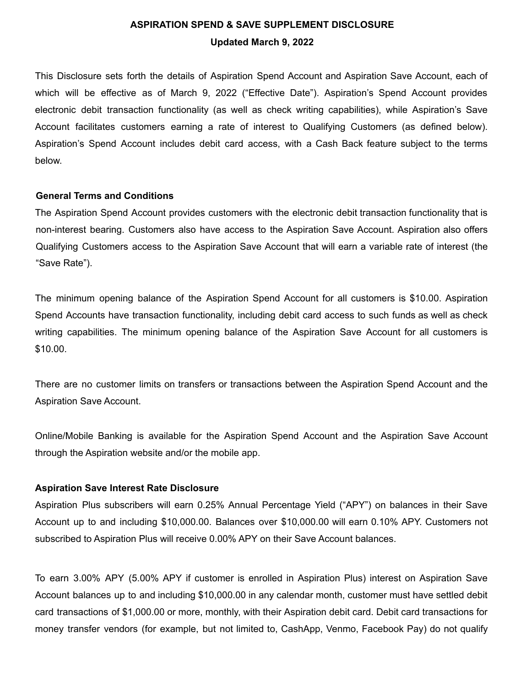# **ASPIRATION SPEND & SAVE SUPPLEMENT DISCLOSURE Updated March 9, 2022**

This Disclosure sets forth the details of Aspiration Spend Account and Aspiration Save Account, each of which will be effective as of March 9, 2022 ("Effective Date"). Aspiration's Spend Account provides electronic debit transaction functionality (as well as check writing capabilities), while Aspiration's Save Account facilitates customers earning a rate of interest to Qualifying Customers (as defined below). Aspiration's Spend Account includes debit card access, with a Cash Back feature subject to the terms below.

# **General Terms and Conditions**

The Aspiration Spend Account provides customers with the electronic debit transaction functionality that is non-interest bearing. Customers also have access to the Aspiration Save Account. Aspiration also offers Qualifying Customers access to the Aspiration Save Account that will earn a variable rate of interest (the "Save Rate").

The minimum opening balance of the Aspiration Spend Account for all customers is \$10.00. Aspiration Spend Accounts have transaction functionality, including debit card access to such funds as well as check writing capabilities. The minimum opening balance of the Aspiration Save Account for all customers is \$10.00.

There are no customer limits on transfers or transactions between the Aspiration Spend Account and the Aspiration Save Account.

Online/Mobile Banking is available for the Aspiration Spend Account and the Aspiration Save Account through the Aspiration website and/or the mobile app.

# **Aspiration Save Interest Rate Disclosure**

Aspiration Plus subscribers will earn 0.25% Annual Percentage Yield ("APY") on balances in their Save Account up to and including \$10,000.00. Balances over \$10,000.00 will earn 0.10% APY. Customers not subscribed to Aspiration Plus will receive 0.00% APY on their Save Account balances.

To earn 3.00% APY (5.00% APY if customer is enrolled in Aspiration Plus) interest on Aspiration Save Account balances up to and including \$10,000.00 in any calendar month, customer must have settled debit card transactions of \$1,000.00 or more, monthly, with their Aspiration debit card. Debit card transactions for money transfer vendors (for example, but not limited to, CashApp, Venmo, Facebook Pay) do not qualify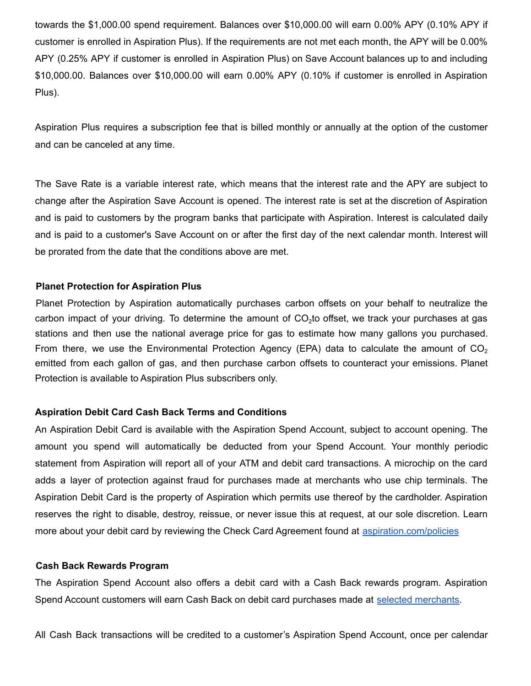towards the \$1,000.00 spend requirement. Balances over \$10,000.00 will earn 0.00% APY (0.10% APY if customer is enrolled in Aspiration Plus). If the requirements are not met each month, the APY will be 0.00% APY (0.25% APY if customer is enrolled in Aspiration Plus) on Save Account balances up to and including \$10,000.00. Balances over \$10,000.00 will earn 0.00% APY (0.10% if customer is enrolled in Aspiration Plus).

Aspiration Plus requires a subscription fee that is billed monthly or annually at the option of the customer and can be canceled at any time.

The Save Rate is a variable interest rate, which means that the interest rate and the APY are subject to change after the Aspiration Save Account is opened. The interest rate is set at the discretion of Aspiration and is paid to customers by the program banks that participate with Aspiration. Interest is calculated daily and is paid to a customer's Save Account on or after the first day of the next calendar month. Interest will be prorated from the date that the conditions above are met.

# **Planet Protection for Aspiration Plus**

Planet Protection by Aspiration automatically purchases carbon offsets on your behalf to neutralize the carbon impact of your driving. To determine the amount of CO<sub>2</sub>to offset, we track your purchases at gas stations and then use the national average price for gas to estimate how many gallons you purchased. From there, we use the Environmental Protection Agency (EPA) data to calculate the amount of  $CO<sub>2</sub>$ emitted from each gallon of gas, and then purchase carbon offsets to counteract your emissions. Planet Protection is available to Aspiration Plus subscribers only.

# **Aspiration Debit Card Cash Back Terms and Conditions**

An Aspiration Debit Card is available with the Aspiration Spend Account, subject to account opening. The amount you spend will automatically be deducted from your Spend Account. Your monthly periodic statement from Aspiration will report all of your ATM and debit card transactions. A microchip on the card adds a layer of protection against fraud for purchases made at merchants who use chip terminals. The Aspiration Debit Card is the property of Aspiration which permits use thereof by the cardholder. Aspiration reserves the right to disable, destroy, reissue, or never issue this at request, at our sole discretion. Learn more about your debit card by reviewing the Check Card Agreement found at [aspiration.com/policies](http://aspiration.com/policies)

# **Cash Back Rewards Program**

The Aspiration Spend Account also offers a debit card with a Cash Back rewards program. Aspiration Spend Account customers will earn Cash Back on debit card purchases made at selected [merchants.](https://my.aspiration.com/faq/Spend---Save%3EAspiration-Spend%3EHow-do-I-earn-cash-back-rewards-on-purchases-?utm_source=Iterable&utm_medium=email&utm_campaign=campaign_-12345)

All Cash Back transactions will be credited to a customer's Aspiration Spend Account, once per calendar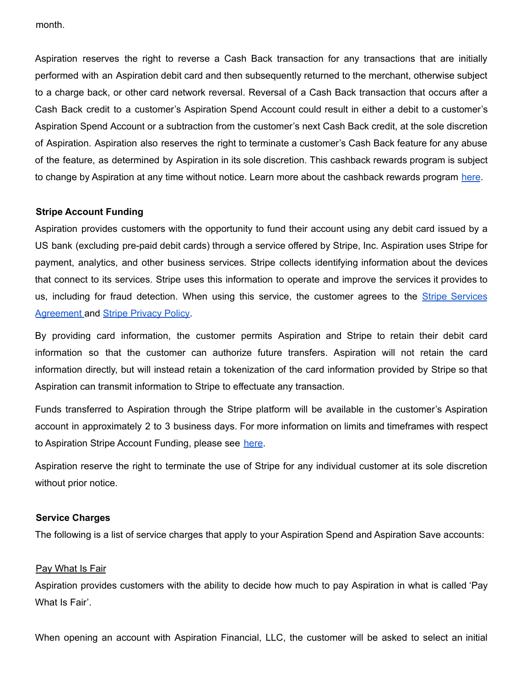month.

Aspiration reserves the right to reverse a Cash Back transaction for any transactions that are initially performed with an Aspiration debit card and then subsequently returned to the merchant, otherwise subject to a charge back, or other card network reversal. Reversal of a Cash Back transaction that occurs after a Cash Back credit to a customer's Aspiration Spend Account could result in either a debit to a customer's Aspiration Spend Account or a subtraction from the customer's next Cash Back credit, at the sole discretion of Aspiration. Aspiration also reserves the right to terminate a customer's Cash Back feature for any abuse of the feature, as determined by Aspiration in its sole discretion. This cashback rewards program is subject to change by Aspiration at any time without notice. Learn more about the cashback rewards program [here](https://my.aspiration.com/faq/Spend---Save%3EAspiration-Spend%3EHow-do-I-earn-cash-back-rewards-on-purchases-).

# **Stripe Account Funding**

Aspiration provides customers with the opportunity to fund their account using any debit card issued by a US bank (excluding pre-paid debit cards) through a service offered by Stripe, Inc. Aspiration uses Stripe for payment, analytics, and other business services. Stripe collects identifying information about the devices that connect to its services. Stripe uses this information to operate and improve the services it provides to us, including for fraud detection. When using this service, the customer agrees to the Stripe [Services](https://stripe.com/legal) [Agreement](https://stripe.com/legal) and Stripe [Privacy](https://stripe.com/privacy) Policy.

By providing card information, the customer permits Aspiration and Stripe to retain their debit card information so that the customer can authorize future transfers. Aspiration will not retain the card information directly, but will instead retain a tokenization of the card information provided by Stripe so that Aspiration can transmit information to Stripe to effectuate any transaction.

Funds transferred to Aspiration through the Stripe platform will be available in the customer's Aspiration account in approximately 2 to 3 business days. For more information on limits and timeframes with respect to Aspiration Stripe Account Funding, please see [here](https://my.aspiration.com/faq/Opening-an-Account%3EGetting-Started%3ECan-I-fund-my-Spend---Save-Account-with-a-debit-card-).

Aspiration reserve the right to terminate the use of Stripe for any individual customer at its sole discretion without prior notice.

# **Service Charges**

The following is a list of service charges that apply to your Aspiration Spend and Aspiration Save accounts:

# Pay What Is Fair

Aspiration provides customers with the ability to decide how much to pay Aspiration in what is called 'Pay What Is Fair'.

When opening an account with Aspiration Financial, LLC, the customer will be asked to select an initial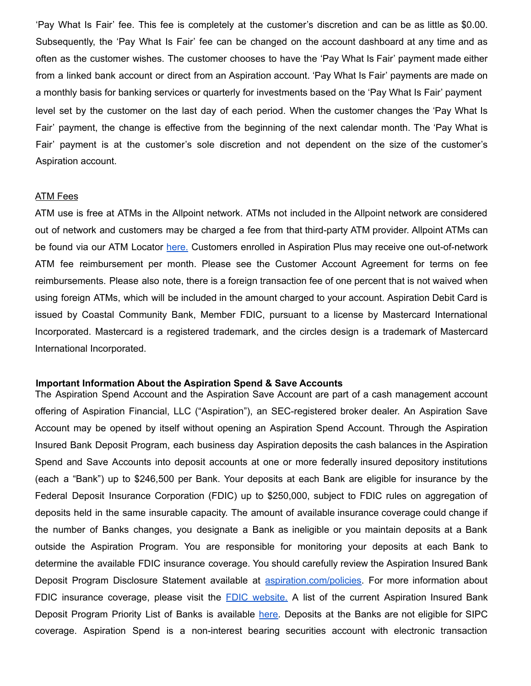'Pay What Is Fair' fee. This fee is completely at the customer's discretion and can be as little as \$0.00. Subsequently, the 'Pay What Is Fair' fee can be changed on the account dashboard at any time and as often as the customer wishes. The customer chooses to have the 'Pay What Is Fair' payment made either from a linked bank account or direct from an Aspiration account. 'Pay What Is Fair' payments are made on a monthly basis for banking services or quarterly for investments based on the 'Pay What Is Fair' payment level set by the customer on the last day of each period. When the customer changes the 'Pay What Is Fair' payment, the change is effective from the beginning of the next calendar month. The 'Pay What is Fair' payment is at the customer's sole discretion and not dependent on the size of the customer's Aspiration account.

#### ATM Fees

ATM use is free at ATMs in the Allpoint network. ATMs not included in the Allpoint network are considered out of network and customers may be charged a fee from that third-party ATM provider. Allpoint ATMs can be found via our ATM Locator [here.](https://www.aspiration.com/atms) Customers enrolled in Aspiration Plus may receive one out-of-network ATM fee reimbursement per month. Please see the Customer Account Agreement for terms on fee reimbursements. Please also note, there is a foreign transaction fee of one percent that is not waived when using foreign ATMs, which will be included in the amount charged to your account. Aspiration Debit Card is issued by Coastal Community Bank, Member FDIC, pursuant to a license by Mastercard International Incorporated. Mastercard is a registered trademark, and the circles design is a trademark of Mastercard International Incorporated.

#### **Important Information About the Aspiration Spend & Save Accounts**

The Aspiration Spend Account and the Aspiration Save Account are part of a cash management account offering of Aspiration Financial, LLC ("Aspiration"), an SEC-registered broker dealer. An Aspiration Save Account may be opened by itself without opening an Aspiration Spend Account. Through the Aspiration Insured Bank Deposit Program, each business day Aspiration deposits the cash balances in the Aspiration Spend and Save Accounts into deposit accounts at one or more federally insured depository institutions (each a "Bank") up to \$246,500 per Bank. Your deposits at each Bank are eligible for insurance by the Federal Deposit Insurance Corporation (FDIC) up to \$250,000, subject to FDIC rules on aggregation of deposits held in the same insurable capacity. The amount of available insurance coverage could change if the number of Banks changes, you designate a Bank as ineligible or you maintain deposits at a Bank outside the Aspiration Program. You are responsible for monitoring your deposits at each Bank to determine the available FDIC insurance coverage. You should carefully review the Aspiration Insured Bank Deposit Program Disclosure Statement available at [aspiration.com/policies.](http://aspiration.com/policies) For more information about FDIC insurance coverage, please visit the FDIC [website.](https://www.fdic.gov/) A list of the current Aspiration Insured Bank Deposit Program Priority List of Banks is available [here.](https://www.aspiration.com/program-banks) Deposits at the Banks are not eligible for SIPC coverage. Aspiration Spend is a non-interest bearing securities account with electronic transaction